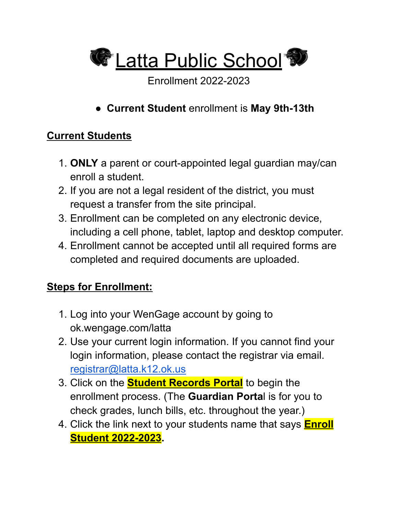**C** Latta Public School

Enrollment 2022-2023

● **Current Student** enrollment is **May 9th-13th**

## **Current Students**

- 1. **ONLY** a parent or court-appointed legal guardian may/can enroll a student.
- 2. If you are not a legal resident of the district, you must request a transfer from the site principal.
- 3. Enrollment can be completed on any electronic device, including a cell phone, tablet, laptop and desktop computer.
- 4. Enrollment cannot be accepted until all required forms are completed and required documents are uploaded.

## **Steps for Enrollment:**

- 1. Log into your WenGage account by going to ok.wengage.com/latta
- 2. Use your current login information. If you cannot find your login information, please contact the registrar via email. [registrar@latta.k12.ok.us](mailto:registrar@latta.k12.ok.us)
- 3. Click on the **Student Records Portal** to begin the enrollment process. (The **Guardian Porta**l is for you to check grades, lunch bills, etc. throughout the year.)
- 4. Click the link next to your students name that says **Enroll Student 2022-2023.**